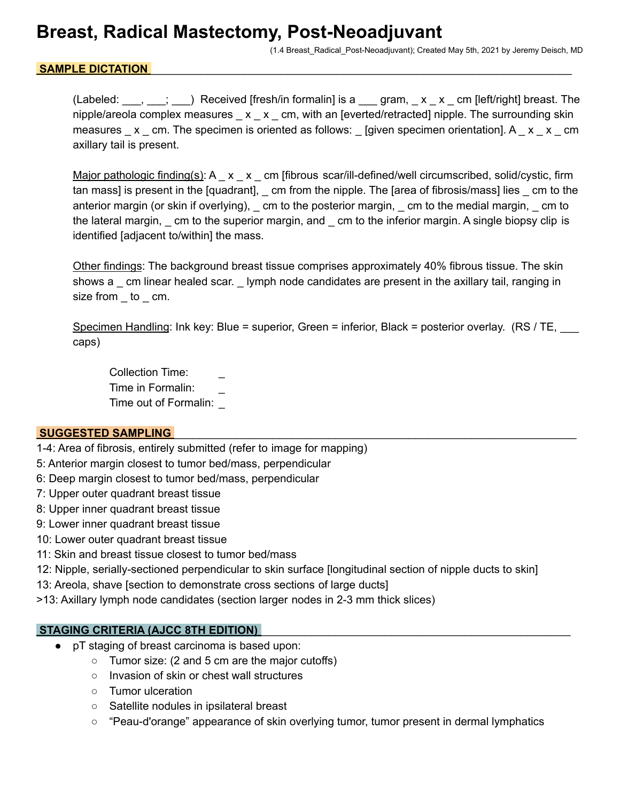## **Breast, Radical Mastectomy, Post-Neoadjuvant**

(1.4 Breast\_Radical\_Post-Neoadjuvant); Created May 5th, 2021 by Jeremy Deisch, MD

#### SAMPLE DICTATION

(Labeled:  $\ldots$ ,  $\ldots$ ;  $\ldots$ ) Received [fresh/in formalin] is a  $\ldots$  gram,  $\ldots$  x  $\ldots$  x  $\ldots$  [left/right] breast. The nipple/areola complex measures  $\_\ x \_\ x \_\ cm$ , with an [everted/retracted] nipple. The surrounding skin measures  $\mathbf{x}$  cm. The specimen is oriented as follows: [given specimen orientation]. A  $\mathbf{x}$   $\mathbf{x}$  cm axillary tail is present.

Major pathologic finding(s): A \_ x \_ x \_ cm [fibrous scar/ill-defined/well circumscribed, solid/cystic, firm tan mass] is present in the [quadrant], \_ cm from the nipple. The [area of fibrosis/mass] lies \_ cm to the anterior margin (or skin if overlying), \_ cm to the posterior margin, \_ cm to the medial margin, \_ cm to the lateral margin, \_ cm to the superior margin, and \_ cm to the inferior margin. A single biopsy clip is identified [adjacent to/within] the mass.

Other findings: The background breast tissue comprises approximately 40% fibrous tissue. The skin shows a cm linear healed scar. Iymph node candidates are present in the axillary tail, ranging in size from \_ to \_ cm.

Specimen Handling: Ink key: Blue = superior, Green = inferior, Black = posterior overlay. (RS / TE, caps)

Collection Time: Time in Formalin: \_ Time out of Formalin: \_

#### **SUGGESTED SAMPLING**

- 1-4: Area of fibrosis, entirely submitted (refer to image for mapping)
- 5: Anterior margin closest to tumor bed/mass, perpendicular
- 6: Deep margin closest to tumor bed/mass, perpendicular
- 7: Upper outer quadrant breast tissue
- 8: Upper inner quadrant breast tissue
- 9: Lower inner quadrant breast tissue
- 10: Lower outer quadrant breast tissue
- 11: Skin and breast tissue closest to tumor bed/mass
- 12: Nipple, serially-sectioned perpendicular to skin surface [longitudinal section of nipple ducts to skin]

13: Areola, shave [section to demonstrate cross sections of large ducts]

>13: Axillary lymph node candidates (section larger nodes in 2-3 mm thick slices)

#### **STAGING CRITERIA (AJCC 8TH EDITION)**

- pT staging of breast carcinoma is based upon:
	- Tumor size: (2 and 5 cm are the major cutoffs)
	- Invasion of skin or chest wall structures
	- Tumor ulceration
	- Satellite nodules in ipsilateral breast
	- "Peau-d'orange" appearance of skin overlying tumor, tumor present in dermal lymphatics